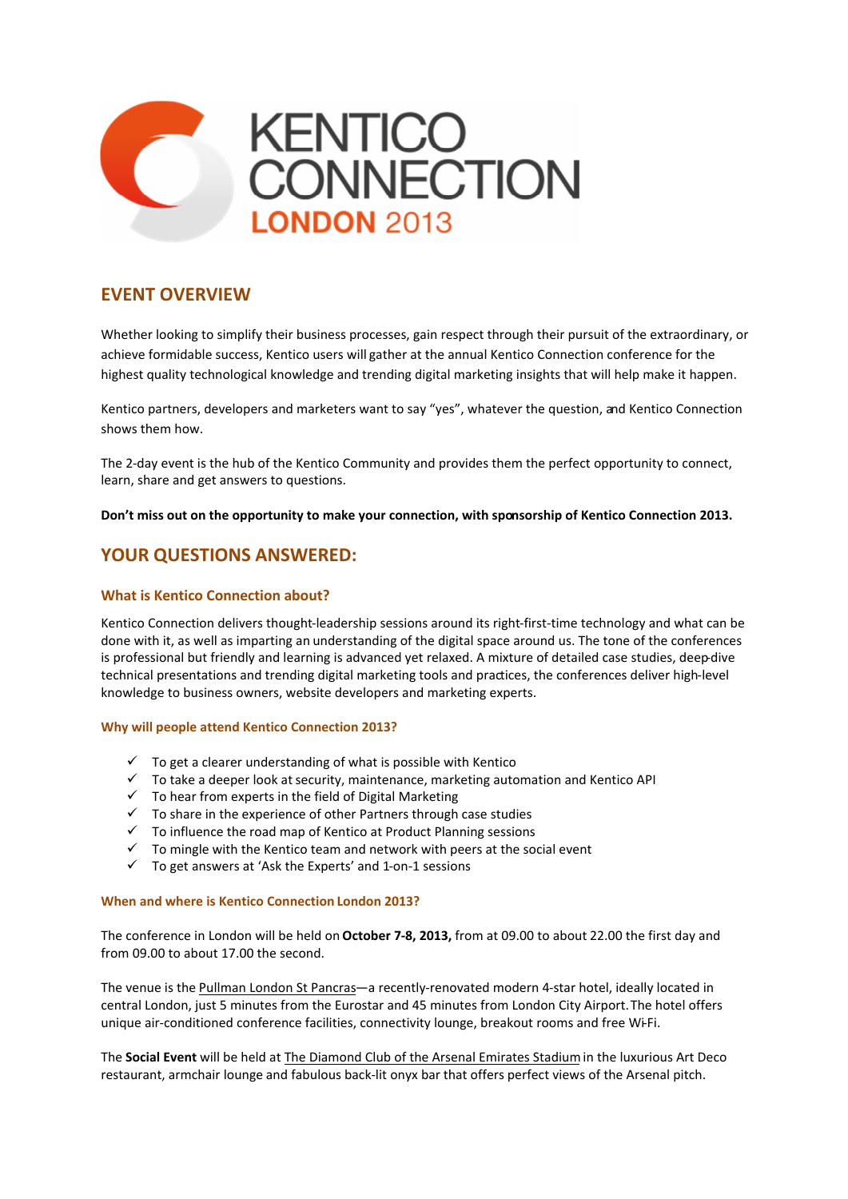

## **EVENT OVERVIEW**

Whether looking to simplify their business processes, gain respect through their pursuit of the extraordinary, or achieve formidable success, Kentico users will gather at the annual Kentico Connection conference for the highest quality technological knowledge and trending digital marketing insights that will help make it happen.

Kentico partners, developers and marketers want to say "yes", whatever the question, and Kentico Connection shows them how.

The 2-day event is the hub of the Kentico Community and provides them the perfect opportunity to connect, learn, share and get answers to questions.

**Don't miss out on the opportunity to make your connection, with sponsorship of Kentico Connection 2013.**

## **YOUR QUESTIONS ANSWERED:**

### **What is Kentico Connection about?**

Kentico Connection delivers thought-leadership sessions around its right-first-time technology and what can be done with it, as well as imparting an understanding of the digital space around us. The tone of the conferences is professional but friendly and learning is advanced yet relaxed. A mixture of detailed case studies, deep-dive technical presentations and trending digital marketing tools and practices, the conferences deliver high-level knowledge to business owners, website developers and marketing experts.

#### **Why will people attend Kentico Connection 2013?**

- $\checkmark$  To get a clearer understanding of what is possible with Kentico
- $\checkmark$  To take a deeper look at security, maintenance, marketing automation and Kentico API
- $\checkmark$  To hear from experts in the field of Digital Marketing
- $\checkmark$  To share in the experience of other Partners through case studies
- $\checkmark$  To influence the road map of Kentico at Product Planning sessions
- $\checkmark$  To mingle with the Kentico team and network with peers at the social event
- $\checkmark$  To get answers at 'Ask the Experts' and 1-on-1 sessions

#### **When and where is Kentico Connection London 2013?**

The conference in London will be held on **October 7-8, 2013,** from at 09.00 to about 22.00 the first day and from 09.00 to about 17.00 the second.

The venue is the Pullman London St Pancras-a recently-renovated modern 4-star hotel, ideally located in central London, just 5 minutes from the Eurostar and 45 minutes from London City Airport.The hotel offers unique air-conditioned conference facilities, connectivity lounge, breakout rooms and free Wi-Fi.

The **Social Event** will be held at The Diamond Club of the Arsenal Emirates Stadiumin the luxurious Art Deco restaurant, armchair lounge and fabulous back-lit onyx bar that offers perfect views of the Arsenal pitch.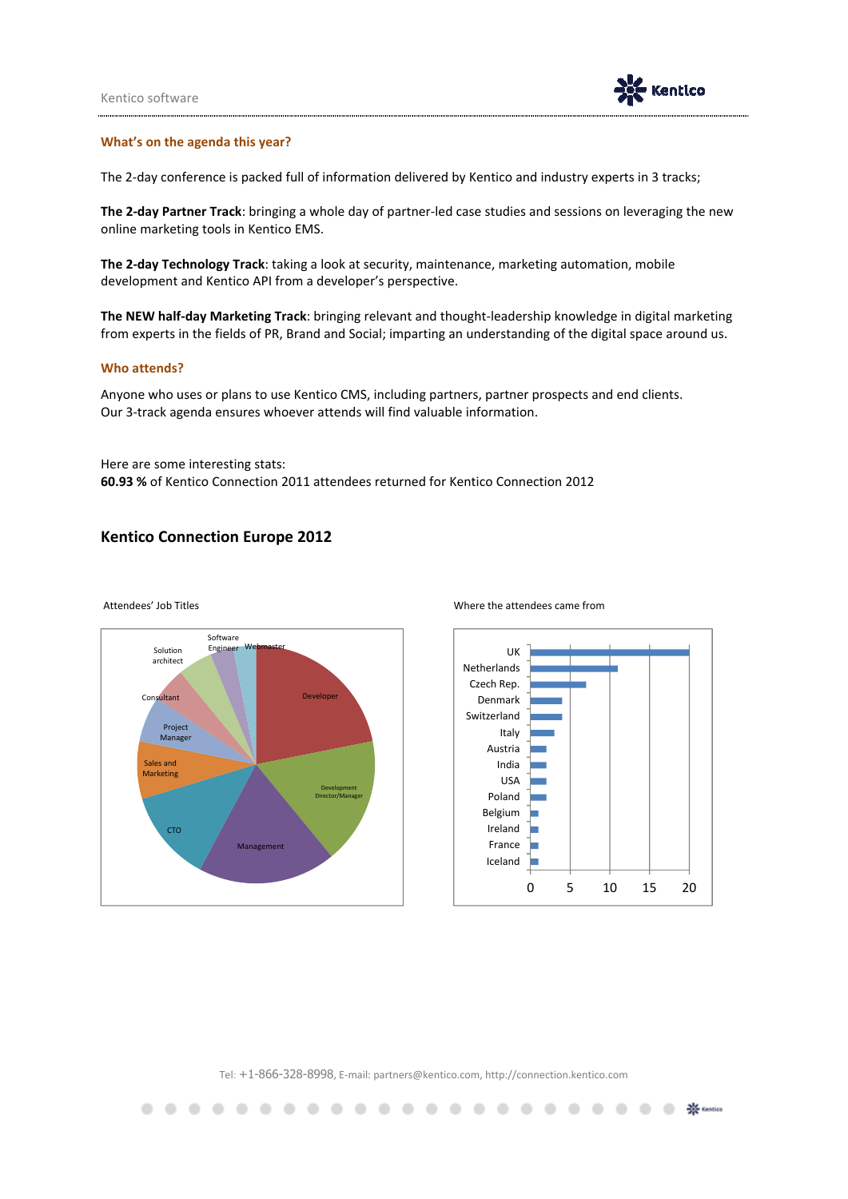

#### **What's on the agenda this year?**

The 2-day conference is packed full of information delivered by Kentico and industry experts in 3 tracks;

**The 2-day Partner Track**: bringing a whole day of partner-led case studies and sessions on leveraging the new online marketing tools in Kentico EMS.

**The 2-day Technology Track**: taking a look at security, maintenance, marketing automation, mobile development and Kentico API from a developer's perspective.

**The NEW half-day Marketing Track**: bringing relevant and thought-leadership knowledge in digital marketing from experts in the fields of PR, Brand and Social; imparting an understanding of the digital space around us.

#### **Who attends?**

.  $\blacksquare$  $\overline{\phantom{a}}$ 

Anyone who uses or plans to use Kentico CMS, including partners, partner prospects and end clients. Our 3-track agenda ensures whoever attends will find valuable information.

Here are some interesting stats: **60.93 %** of Kentico Connection 2011 attendees returned for Kentico Connection 2012

### **Kentico Connection Europe 2012**



Attendees' Job Titles **Attendees' Job Titles** Where the attendees came from



**● 茶 Kentico** 

Tel: +1-866-328-8998, E-mail: partners@kentico.com, http://connection.kentico.com

. . . . . . . . . . . . . . . . . .